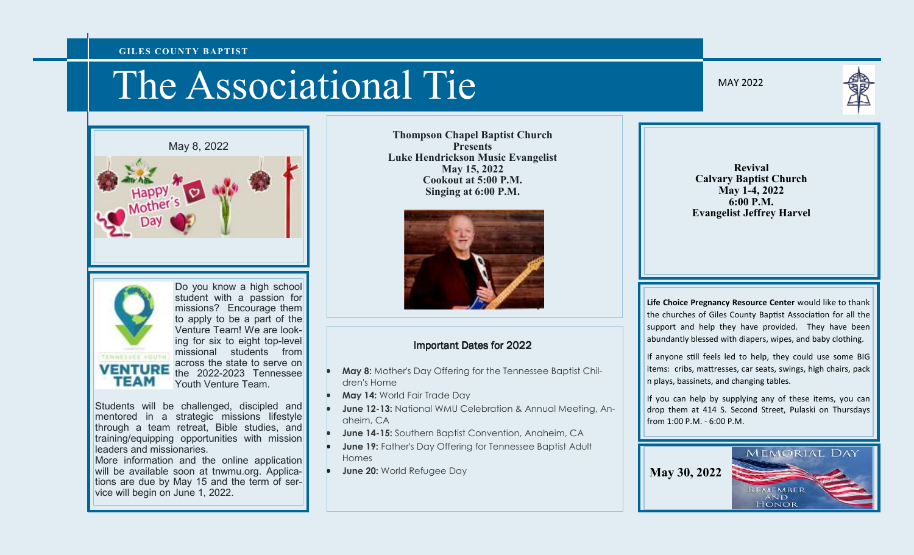#### **GILES COUNTY BAPTIST**

# The Associational Tie

May 8, 2022





Do you know a high school student with a passion for missions? Encourage them to apply to be a part of the Venture Team! We are looking for six to eight top-level missional students from across the state to serve on the 2022-2023 Tennessee Youth Venture Team.

Students will be challenged, discipled and mentored in a strategic missions lifestyle through a team retreat, Bible studies, and training/equipping opportunities with mission leaders and missionaries.

 More information and the online application will be available soon at tnwmu.org. Applications are due by May 15 and the term of service will begin on June 1, 2022.

**Thompson Chapel Baptist Church Presents Luke Hendrickson Music Evangelist May 15, 2022 Cookout at 5:00 P.M. Singing at 6:00 P.M.** 



#### **Important Dates for 2022**

- **May 8:** Mother's Day Offering for the Tennessee Baptist Children's Home
- **May 14:** World Fair Trade Day
- **June 12-13:** National WMU Celebration & Annual Meeting, Anaheim, CA
- **June 14-15:** Southern Baptist Convention, Anaheim, CA
- **June 19:** Father's Day Offering for Tennessee Baptist Adult Homes
- **June 20:** World Refugee Day

MAY 2022

**Revival Calvary Baptist Church May 1-4, 2022 6:00 P.M. Evangelist Jeffrey Harvel** 

**Life Choice Pregnancy Resource Center** would like to thank the churches of Giles County Baptist Association for all the support and help they have provided. They have been abundantly blessed with diapers, wipes, and baby clothing.

If anyone still feels led to help, they could use some BIG items: cribs, mattresses, car seats, swings, high chairs, pack n plays, bassinets, and changing tables.

If you can help by supplying any of these items, you can drop them at 414 S. Second Street, Pulaski on Thursdays from 1:00 P.M. - 6:00 P.M.